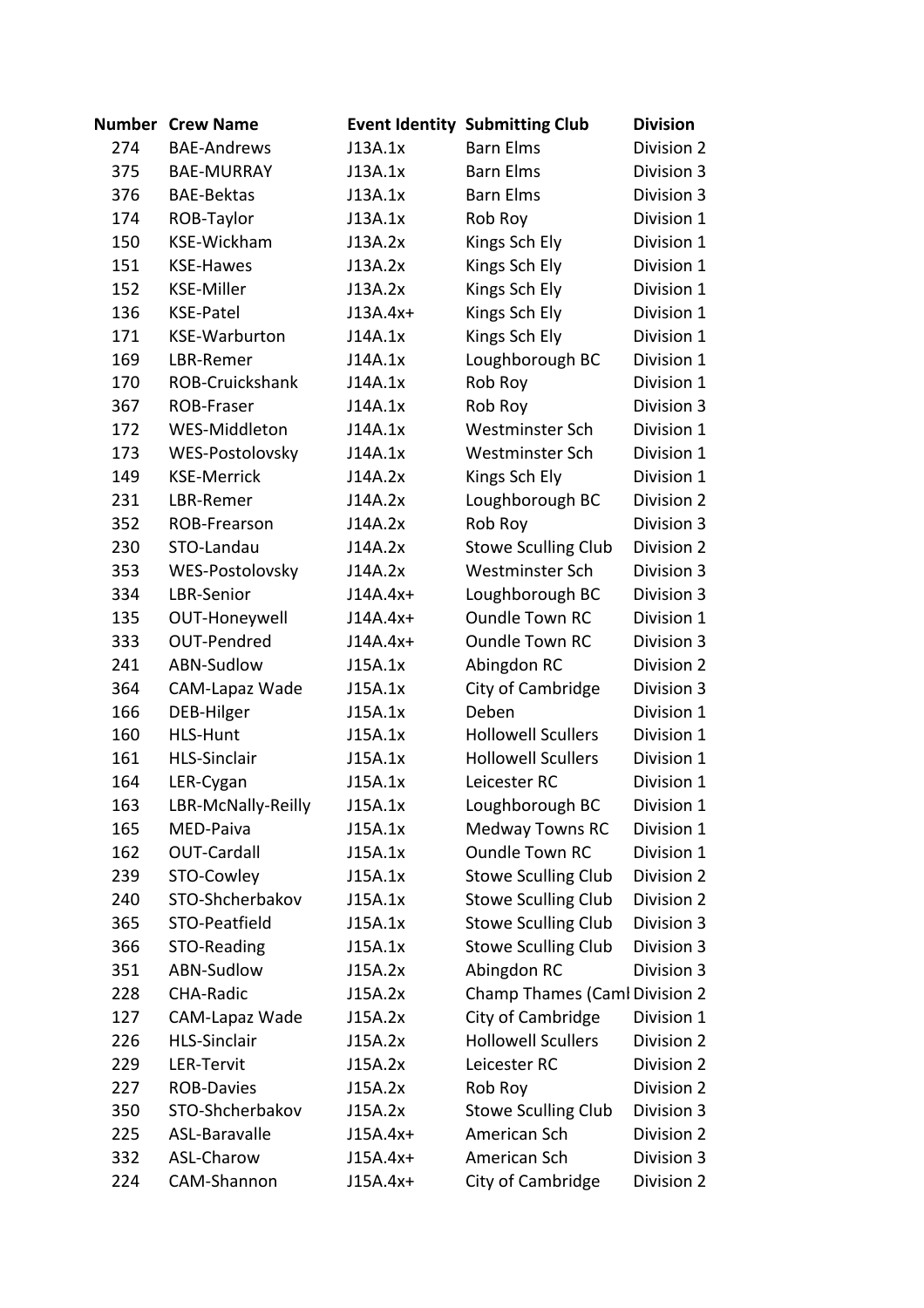|     | <b>Number Crew Name</b> |            | <b>Event Identity Submitting Club</b> | <b>Division</b> |
|-----|-------------------------|------------|---------------------------------------|-----------------|
| 274 | <b>BAE-Andrews</b>      | J13A.1x    | <b>Barn Elms</b>                      | Division 2      |
| 375 | <b>BAE-MURRAY</b>       | J13A.1x    | <b>Barn Elms</b>                      | Division 3      |
| 376 | <b>BAE-Bektas</b>       | J13A.1x    | <b>Barn Elms</b>                      | Division 3      |
| 174 | ROB-Taylor              | J13A.1x    | Rob Roy                               | Division 1      |
| 150 | KSE-Wickham             | J13A.2x    | Kings Sch Ely                         | Division 1      |
| 151 | <b>KSE-Hawes</b>        | J13A.2x    | Kings Sch Ely                         | Division 1      |
| 152 | <b>KSE-Miller</b>       | J13A.2x    | Kings Sch Ely                         | Division 1      |
| 136 | <b>KSE-Patel</b>        | $J13A.4x+$ | Kings Sch Ely                         | Division 1      |
| 171 | <b>KSE-Warburton</b>    | J14A.1x    | Kings Sch Ely                         | Division 1      |
| 169 | LBR-Remer               | J14A.1x    | Loughborough BC                       | Division 1      |
| 170 | ROB-Cruickshank         | J14A.1x    | Rob Roy                               | Division 1      |
| 367 | ROB-Fraser              | J14A.1x    | Rob Roy                               | Division 3      |
| 172 | WES-Middleton           | J14A.1x    | Westminster Sch                       | Division 1      |
| 173 | WES-Postolovsky         | J14A.1x    | Westminster Sch                       | Division 1      |
| 149 | <b>KSE-Merrick</b>      | J14A.2x    | Kings Sch Ely                         | Division 1      |
| 231 | LBR-Remer               | J14A.2x    | Loughborough BC                       | Division 2      |
| 352 | ROB-Frearson            | J14A.2x    | Rob Roy                               | Division 3      |
| 230 | STO-Landau              | J14A.2x    | <b>Stowe Sculling Club</b>            | Division 2      |
| 353 | WES-Postolovsky         | J14A.2x    | Westminster Sch                       | Division 3      |
| 334 | LBR-Senior              | J14A.4x+   | Loughborough BC                       | Division 3      |
| 135 | OUT-Honeywell           | $J14A.4x+$ | <b>Oundle Town RC</b>                 | Division 1      |
| 333 | <b>OUT-Pendred</b>      | $J14A.4x+$ | <b>Oundle Town RC</b>                 | Division 3      |
| 241 | ABN-Sudlow              | J15A.1x    | Abingdon RC                           | Division 2      |
| 364 | CAM-Lapaz Wade          | J15A.1x    | City of Cambridge                     | Division 3      |
| 166 | DEB-Hilger              | J15A.1x    | Deben                                 | Division 1      |
| 160 | <b>HLS-Hunt</b>         | J15A.1x    | <b>Hollowell Scullers</b>             | Division 1      |
| 161 | <b>HLS-Sinclair</b>     | J15A.1x    | <b>Hollowell Scullers</b>             | Division 1      |
| 164 | LER-Cygan               | J15A.1x    | Leicester RC                          | Division 1      |
| 163 | LBR-McNally-Reilly      | J15A.1x    | Loughborough BC                       | Division 1      |
| 165 | MED-Paiva               | J15A.1x    | <b>Medway Towns RC</b>                | Division 1      |
| 162 | <b>OUT-Cardall</b>      | J15A.1x    | <b>Oundle Town RC</b>                 | Division 1      |
| 239 | STO-Cowley              | J15A.1x    | <b>Stowe Sculling Club</b>            | Division 2      |
| 240 | STO-Shcherbakov         | J15A.1x    | <b>Stowe Sculling Club</b>            | Division 2      |
| 365 | STO-Peatfield           | J15A.1x    | <b>Stowe Sculling Club</b>            | Division 3      |
| 366 | STO-Reading             | J15A.1x    | <b>Stowe Sculling Club</b>            | Division 3      |
| 351 | ABN-Sudlow              | J15A.2x    | Abingdon RC                           | Division 3      |
| 228 | CHA-Radic               | J15A.2x    | <b>Champ Thames (Caml Division 2</b>  |                 |
| 127 | CAM-Lapaz Wade          | J15A.2x    | City of Cambridge                     | Division 1      |
| 226 | <b>HLS-Sinclair</b>     | J15A.2x    | <b>Hollowell Scullers</b>             | Division 2      |
| 229 | LER-Tervit              | J15A.2x    | Leicester RC                          | Division 2      |
| 227 | <b>ROB-Davies</b>       | J15A.2x    | Rob Roy                               | Division 2      |
| 350 | STO-Shcherbakov         | J15A.2x    | <b>Stowe Sculling Club</b>            | Division 3      |
| 225 | ASL-Baravalle           | $J15A.4x+$ | American Sch                          | Division 2      |
| 332 | ASL-Charow              | $J15A.4x+$ | American Sch                          | Division 3      |
| 224 | CAM-Shannon             | $J15A.4x+$ | City of Cambridge                     | Division 2      |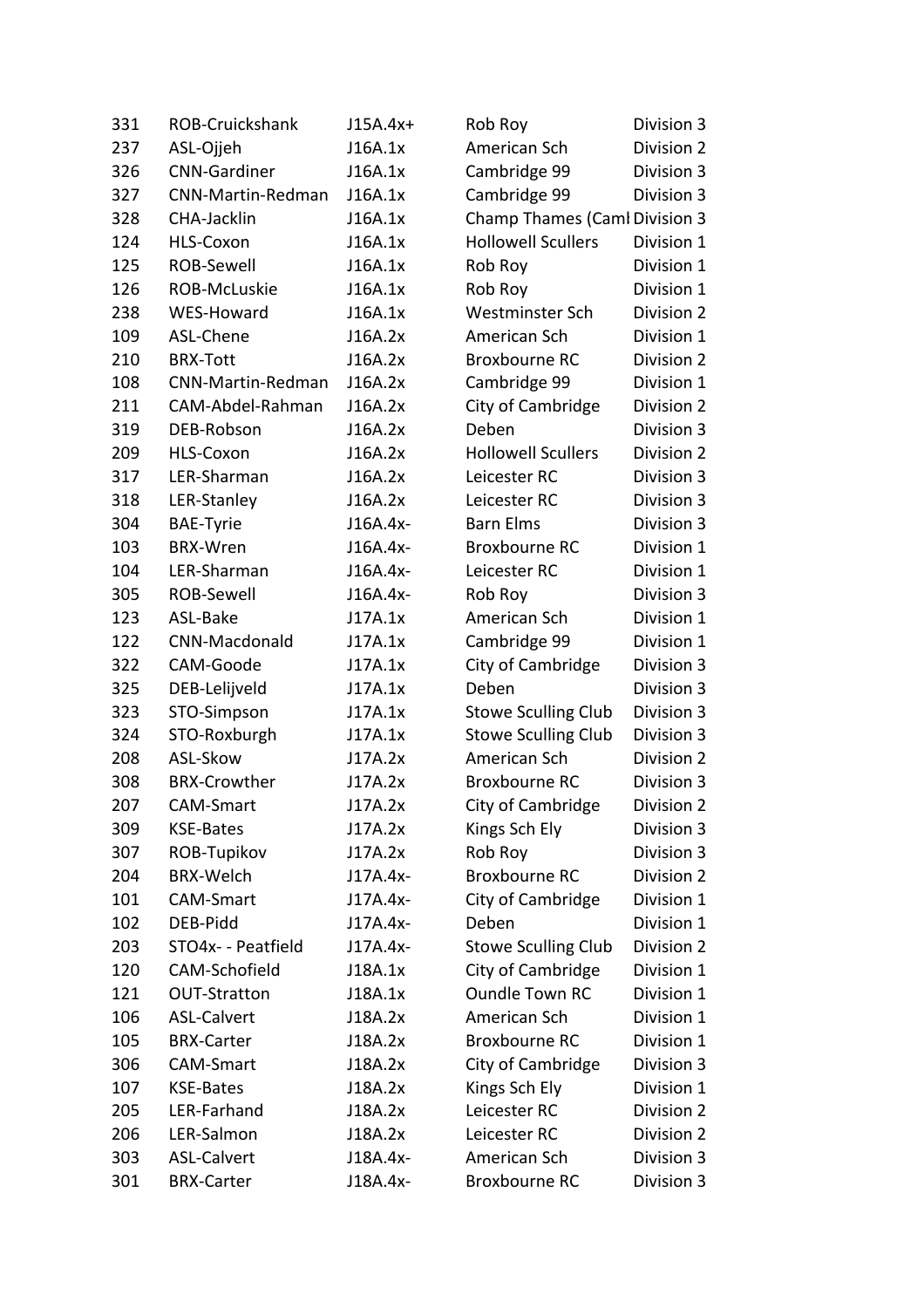| 331 | ROB-Cruickshank     | $J15A.4x+$ | Rob Roy                              | Division 3 |
|-----|---------------------|------------|--------------------------------------|------------|
| 237 | ASL-Ojjeh           | J16A.1x    | American Sch                         | Division 2 |
| 326 | <b>CNN-Gardiner</b> | J16A.1x    | Cambridge 99                         | Division 3 |
| 327 | CNN-Martin-Redman   | J16A.1x    | Cambridge 99                         | Division 3 |
| 328 | CHA-Jacklin         | J16A.1x    | <b>Champ Thames (Caml Division 3</b> |            |
| 124 | HLS-Coxon           | J16A.1x    | <b>Hollowell Scullers</b>            | Division 1 |
| 125 | ROB-Sewell          | J16A.1x    | Rob Roy                              | Division 1 |
| 126 | ROB-McLuskie        | J16A.1x    | Rob Roy                              | Division 1 |
| 238 | WES-Howard          | J16A.1x    | Westminster Sch                      | Division 2 |
| 109 | ASL-Chene           | J16A.2x    | American Sch                         | Division 1 |
| 210 | <b>BRX-Tott</b>     | J16A.2x    | <b>Broxbourne RC</b>                 | Division 2 |
| 108 | CNN-Martin-Redman   | J16A.2x    | Cambridge 99                         | Division 1 |
| 211 | CAM-Abdel-Rahman    | J16A.2x    | City of Cambridge                    | Division 2 |
| 319 | DEB-Robson          | J16A.2x    | Deben                                | Division 3 |
| 209 | HLS-Coxon           | J16A.2x    | <b>Hollowell Scullers</b>            | Division 2 |
| 317 | LER-Sharman         | J16A.2x    | Leicester RC                         | Division 3 |
| 318 | LER-Stanley         | J16A.2x    | Leicester RC                         | Division 3 |
| 304 | <b>BAE-Tyrie</b>    | J16A.4x-   | <b>Barn Elms</b>                     | Division 3 |
| 103 | <b>BRX-Wren</b>     | J16A.4x-   | <b>Broxbourne RC</b>                 | Division 1 |
| 104 | LER-Sharman         | J16A.4x-   | Leicester RC                         | Division 1 |
| 305 | <b>ROB-Sewell</b>   | J16A.4x-   | Rob Roy                              | Division 3 |
| 123 | ASL-Bake            | J17A.1x    | American Sch                         | Division 1 |
| 122 | CNN-Macdonald       | J17A.1x    | Cambridge 99                         | Division 1 |
| 322 | CAM-Goode           | J17A.1x    | City of Cambridge                    | Division 3 |
| 325 | DEB-Lelijveld       | J17A.1x    | Deben                                | Division 3 |
| 323 | STO-Simpson         | J17A.1x    | <b>Stowe Sculling Club</b>           | Division 3 |
| 324 | STO-Roxburgh        | J17A.1x    | <b>Stowe Sculling Club</b>           | Division 3 |
| 208 | ASL-Skow            | J17A.2x    | American Sch                         | Division 2 |
| 308 | <b>BRX-Crowther</b> | J17A.2x    | Broxbourne RC                        | Division 3 |
| 207 | CAM-Smart           | J17A.2x    | City of Cambridge                    | Division 2 |
| 309 | <b>KSE-Bates</b>    | J17A.2x    | Kings Sch Ely                        | Division 3 |
| 307 | ROB-Tupikov         | J17A.2x    | Rob Roy                              | Division 3 |
| 204 | <b>BRX-Welch</b>    | J17A.4x-   | Broxbourne RC                        | Division 2 |
| 101 | CAM-Smart           | J17A.4x-   | City of Cambridge                    | Division 1 |
| 102 | DEB-Pidd            | J17A.4x-   | Deben                                | Division 1 |
| 203 | STO4x- - Peatfield  | J17A.4x-   | <b>Stowe Sculling Club</b>           | Division 2 |
| 120 | CAM-Schofield       | J18A.1x    | City of Cambridge                    | Division 1 |
| 121 | <b>OUT-Stratton</b> | J18A.1x    | <b>Oundle Town RC</b>                | Division 1 |
| 106 | <b>ASL-Calvert</b>  | J18A.2x    | American Sch                         | Division 1 |
| 105 | <b>BRX-Carter</b>   | J18A.2x    | Broxbourne RC                        | Division 1 |
| 306 | CAM-Smart           | J18A.2x    | City of Cambridge                    | Division 3 |
| 107 | <b>KSE-Bates</b>    | J18A.2x    | Kings Sch Ely                        | Division 1 |
| 205 | LER-Farhand         | J18A.2x    | Leicester RC                         | Division 2 |
| 206 | LER-Salmon          | J18A.2x    | Leicester RC                         | Division 2 |
| 303 | <b>ASL-Calvert</b>  | J18A.4x-   | American Sch                         | Division 3 |
| 301 | <b>BRX-Carter</b>   | J18A.4x-   | Broxbourne RC                        | Division 3 |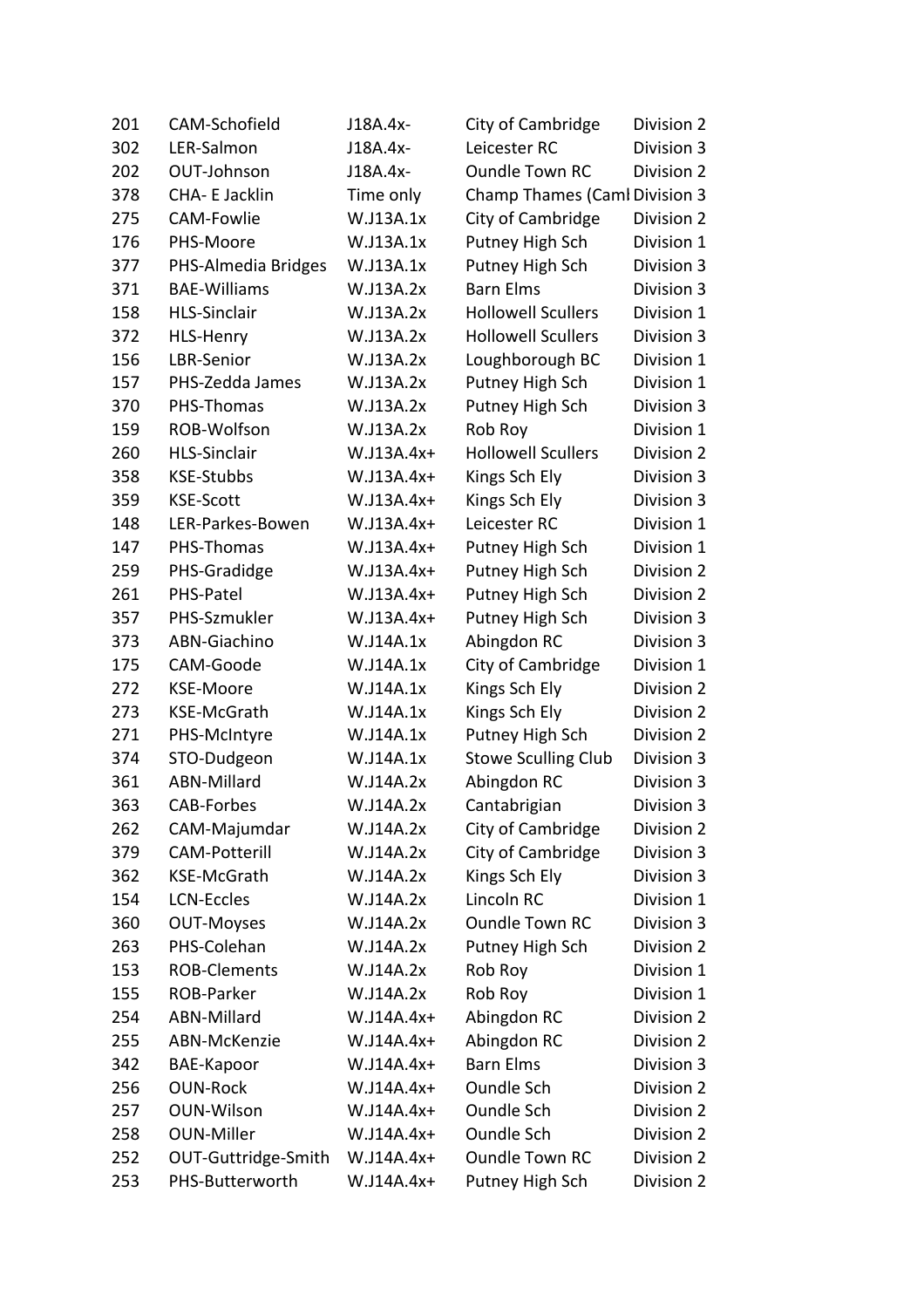| 201 | CAM-Schofield        | J18A.4x-     | City of Cambridge                    | Division 2 |
|-----|----------------------|--------------|--------------------------------------|------------|
| 302 | LER-Salmon           | J18A.4x-     | Leicester RC                         | Division 3 |
| 202 | OUT-Johnson          | J18A.4x-     | <b>Oundle Town RC</b>                | Division 2 |
| 378 | CHA- E Jacklin       | Time only    | <b>Champ Thames (Caml Division 3</b> |            |
| 275 | <b>CAM-Fowlie</b>    | W.J13A.1x    | City of Cambridge                    | Division 2 |
| 176 | PHS-Moore            | W.J13A.1x    | Putney High Sch                      | Division 1 |
| 377 | PHS-Almedia Bridges  | W.J13A.1x    | Putney High Sch                      | Division 3 |
| 371 | <b>BAE-Williams</b>  | W.J13A.2x    | <b>Barn Elms</b>                     | Division 3 |
| 158 | <b>HLS-Sinclair</b>  | W.J13A.2x    | <b>Hollowell Scullers</b>            | Division 1 |
| 372 | <b>HLS-Henry</b>     | W.J13A.2x    | <b>Hollowell Scullers</b>            | Division 3 |
| 156 | LBR-Senior           | W.J13A.2x    | Loughborough BC                      | Division 1 |
| 157 | PHS-Zedda James      | W.J13A.2x    | Putney High Sch                      | Division 1 |
| 370 | PHS-Thomas           | W.J13A.2x    | Putney High Sch                      | Division 3 |
| 159 | ROB-Wolfson          | W.J13A.2x    | Rob Roy                              | Division 1 |
| 260 | <b>HLS-Sinclair</b>  | W.J13A.4x+   | <b>Hollowell Scullers</b>            | Division 2 |
| 358 | <b>KSE-Stubbs</b>    | $W.J13A.4x+$ | Kings Sch Ely                        | Division 3 |
| 359 | <b>KSE-Scott</b>     | $W.J13A.4x+$ | Kings Sch Ely                        | Division 3 |
| 148 | LER-Parkes-Bowen     | W.J13A.4x+   | Leicester RC                         | Division 1 |
| 147 | PHS-Thomas           | W.J13A.4x+   | Putney High Sch                      | Division 1 |
| 259 | PHS-Gradidge         | $W.J13A.4x+$ | Putney High Sch                      | Division 2 |
| 261 | PHS-Patel            | W.J13A.4x+   | Putney High Sch                      | Division 2 |
| 357 | PHS-Szmukler         | $W.J13A.4x+$ | Putney High Sch                      | Division 3 |
| 373 | ABN-Giachino         | W.J14A.1x    | Abingdon RC                          | Division 3 |
| 175 | CAM-Goode            | W.J14A.1x    | City of Cambridge                    | Division 1 |
| 272 | <b>KSE-Moore</b>     | W.J14A.1x    | Kings Sch Ely                        | Division 2 |
| 273 | KSE-McGrath          | W.J14A.1x    | Kings Sch Ely                        | Division 2 |
| 271 | PHS-McIntyre         | W.J14A.1x    | Putney High Sch                      | Division 2 |
| 374 | STO-Dudgeon          | W.J14A.1x    | <b>Stowe Sculling Club</b>           | Division 3 |
| 361 | <b>ABN-Millard</b>   | W.J14A.2x    | Abingdon RC                          | Division 3 |
| 363 | <b>CAB-Forbes</b>    | W.J14A.2x    | Cantabrigian                         | Division 3 |
| 262 | CAM-Majumdar         | W.J14A.2x    | City of Cambridge                    | Division 2 |
| 379 | <b>CAM-Potterill</b> | W.J14A.2x    | City of Cambridge                    | Division 3 |
| 362 | <b>KSE-McGrath</b>   | W.J14A.2x    | Kings Sch Ely                        | Division 3 |
| 154 | <b>LCN-Eccles</b>    | W.J14A.2x    | Lincoln RC                           | Division 1 |
| 360 | <b>OUT-Moyses</b>    | W.J14A.2x    | <b>Oundle Town RC</b>                | Division 3 |
| 263 | PHS-Colehan          | W.J14A.2x    | Putney High Sch                      | Division 2 |
| 153 | <b>ROB-Clements</b>  | W.J14A.2x    | Rob Roy                              | Division 1 |
| 155 | ROB-Parker           | W.J14A.2x    | Rob Roy                              | Division 1 |
| 254 | ABN-Millard          | W.J14A.4x+   | Abingdon RC                          | Division 2 |
| 255 | ABN-McKenzie         | W.J14A.4x+   | Abingdon RC                          | Division 2 |
| 342 | <b>BAE-Kapoor</b>    | W.J14A.4x+   | <b>Barn Elms</b>                     | Division 3 |
| 256 | <b>OUN-Rock</b>      | W.J14A.4x+   | <b>Oundle Sch</b>                    | Division 2 |
| 257 | <b>OUN-Wilson</b>    | W.J14A.4x+   | <b>Oundle Sch</b>                    | Division 2 |
| 258 | <b>OUN-Miller</b>    | W.J14A.4x+   | <b>Oundle Sch</b>                    | Division 2 |
| 252 | OUT-Guttridge-Smith  | W.J14A.4x+   | <b>Oundle Town RC</b>                | Division 2 |
| 253 | PHS-Butterworth      | W.J14A.4x+   | Putney High Sch                      | Division 2 |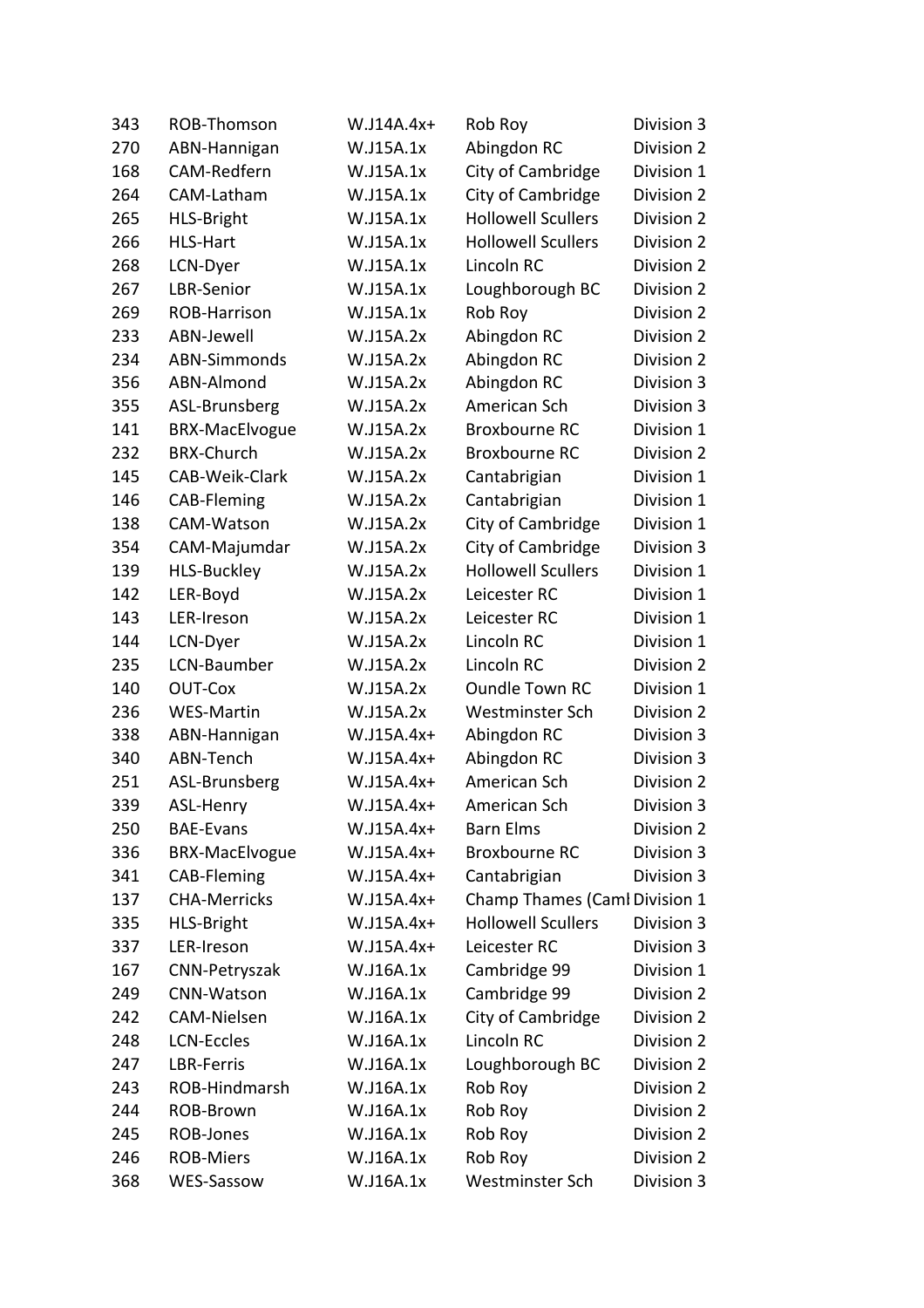| 343 | ROB-Thomson           | $W.J14A.4x+$ | Rob Roy                       | Division 3 |
|-----|-----------------------|--------------|-------------------------------|------------|
| 270 | ABN-Hannigan          | W.J15A.1x    | Abingdon RC                   | Division 2 |
| 168 | CAM-Redfern           | W.J15A.1x    | City of Cambridge             | Division 1 |
| 264 | CAM-Latham            | W.J15A.1x    | City of Cambridge             | Division 2 |
| 265 | <b>HLS-Bright</b>     | W.J15A.1x    | <b>Hollowell Scullers</b>     | Division 2 |
| 266 | <b>HLS-Hart</b>       | W.J15A.1x    | <b>Hollowell Scullers</b>     | Division 2 |
| 268 | LCN-Dyer              | W.J15A.1x    | Lincoln RC                    | Division 2 |
| 267 | LBR-Senior            | W.J15A.1x    | Loughborough BC               | Division 2 |
| 269 | ROB-Harrison          | W.J15A.1x    | Rob Roy                       | Division 2 |
| 233 | ABN-Jewell            | W.J15A.2x    | Abingdon RC                   | Division 2 |
| 234 | <b>ABN-Simmonds</b>   | W.J15A.2x    | Abingdon RC                   | Division 2 |
| 356 | ABN-Almond            | W.J15A.2x    | Abingdon RC                   | Division 3 |
| 355 | ASL-Brunsberg         | W.J15A.2x    | American Sch                  | Division 3 |
| 141 | <b>BRX-MacElvogue</b> | W.J15A.2x    | <b>Broxbourne RC</b>          | Division 1 |
| 232 | <b>BRX-Church</b>     | W.J15A.2x    | <b>Broxbourne RC</b>          | Division 2 |
| 145 | CAB-Weik-Clark        | W.J15A.2x    | Cantabrigian                  | Division 1 |
| 146 | CAB-Fleming           | W.J15A.2x    | Cantabrigian                  | Division 1 |
| 138 | CAM-Watson            | W.J15A.2x    | City of Cambridge             | Division 1 |
| 354 | CAM-Majumdar          | W.J15A.2x    | City of Cambridge             | Division 3 |
| 139 | <b>HLS-Buckley</b>    | W.J15A.2x    | <b>Hollowell Scullers</b>     | Division 1 |
| 142 | LER-Boyd              | W.J15A.2x    | Leicester RC                  | Division 1 |
| 143 | LER-Ireson            | W.J15A.2x    | Leicester RC                  | Division 1 |
| 144 | LCN-Dyer              | W.J15A.2x    | Lincoln RC                    | Division 1 |
| 235 | LCN-Baumber           | W.J15A.2x    | Lincoln RC                    | Division 2 |
| 140 | OUT-Cox               | W.J15A.2x    | <b>Oundle Town RC</b>         | Division 1 |
| 236 | <b>WES-Martin</b>     | W.J15A.2x    | Westminster Sch               | Division 2 |
| 338 | ABN-Hannigan          | W.J15A.4x+   | Abingdon RC                   | Division 3 |
| 340 | ABN-Tench             | $W.J15A.4x+$ | Abingdon RC                   | Division 3 |
| 251 | ASL-Brunsberg         | W.J15A.4x+   | American Sch                  | Division 2 |
| 339 | ASL-Henry             | W.J15A.4x+   | American Sch                  | Division 3 |
| 250 | <b>BAE-Evans</b>      | $W.J15A.4x+$ | <b>Barn Elms</b>              | Division 2 |
| 336 | <b>BRX-MacElvogue</b> | W.J15A.4x+   | Broxbourne RC                 | Division 3 |
| 341 | CAB-Fleming           | W.J15A.4x+   | Cantabrigian                  | Division 3 |
| 137 | <b>CHA-Merricks</b>   | W.J15A.4x+   | Champ Thames (Caml Division 1 |            |
| 335 | <b>HLS-Bright</b>     | W.J15A.4x+   | <b>Hollowell Scullers</b>     | Division 3 |
| 337 | LER-Ireson            | $W.J15A.4x+$ | Leicester RC                  | Division 3 |
| 167 | CNN-Petryszak         | W.J16A.1x    | Cambridge 99                  | Division 1 |
| 249 | <b>CNN-Watson</b>     | W.J16A.1x    | Cambridge 99                  | Division 2 |
| 242 | <b>CAM-Nielsen</b>    | W.J16A.1x    | City of Cambridge             | Division 2 |
| 248 | <b>LCN-Eccles</b>     | W.J16A.1x    | Lincoln RC                    | Division 2 |
| 247 | LBR-Ferris            | W.J16A.1x    | Loughborough BC               | Division 2 |
| 243 | ROB-Hindmarsh         | W.J16A.1x    | Rob Roy                       | Division 2 |
| 244 | ROB-Brown             | W.J16A.1x    | Rob Roy                       | Division 2 |
| 245 | ROB-Jones             | W.J16A.1x    | Rob Roy                       | Division 2 |
| 246 | <b>ROB-Miers</b>      | W.J16A.1x    | Rob Roy                       | Division 2 |
| 368 | WES-Sassow            | W.J16A.1x    | Westminster Sch               | Division 3 |